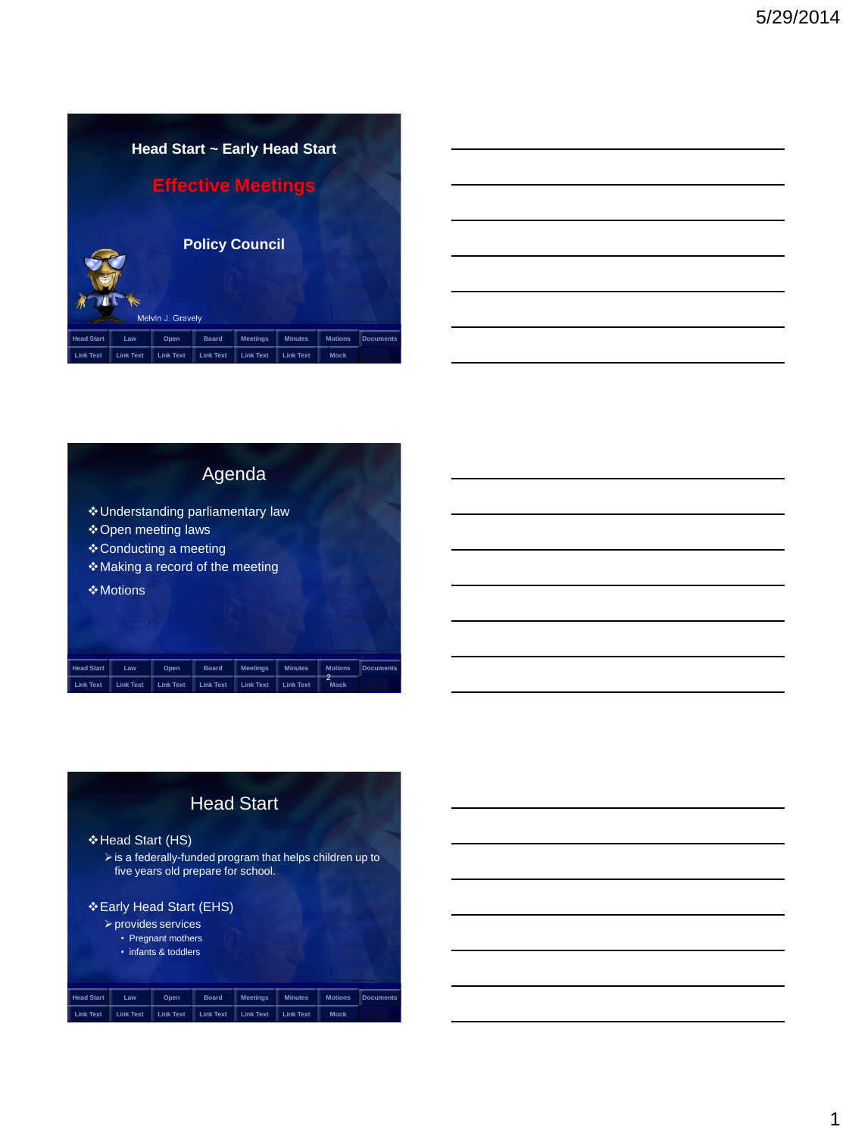| <b>Head Start ~ Early Head Start</b>       |                  |                  |                  |                  |                  |                |                  |  |
|--------------------------------------------|------------------|------------------|------------------|------------------|------------------|----------------|------------------|--|
| <b>Effective Meetings</b>                  |                  |                  |                  |                  |                  |                |                  |  |
| <b>Policy Council</b><br>Melvin J. Gravely |                  |                  |                  |                  |                  |                |                  |  |
| <b>Head Start</b>                          | Law              | Open             | <b>Board</b>     | <b>Meetings</b>  | <b>Minutes</b>   | <b>Motions</b> | <b>Documents</b> |  |
| <b>Link Text</b>                           | <b>Link Text</b> | <b>Link Text</b> | <b>Link Text</b> | <b>Link Text</b> | <b>Link Text</b> | Mock           |                  |  |

|                   |           |                                               |              | Agenda                                                                |                |                     |                  |
|-------------------|-----------|-----------------------------------------------|--------------|-----------------------------------------------------------------------|----------------|---------------------|------------------|
|                   | ❖ Motions | ❖ Open meeting laws<br>❖ Conducting a meeting |              | ❖ Understanding parliamentary law<br>❖ Making a record of the meeting |                |                     |                  |
| <b>Head Start</b> | Law       | Open                                          | <b>Board</b> | <b>Meetings</b>                                                       | <b>Minutes</b> | <b>Motions</b><br>2 | <b>Documents</b> |

<span id="page-0-0"></span>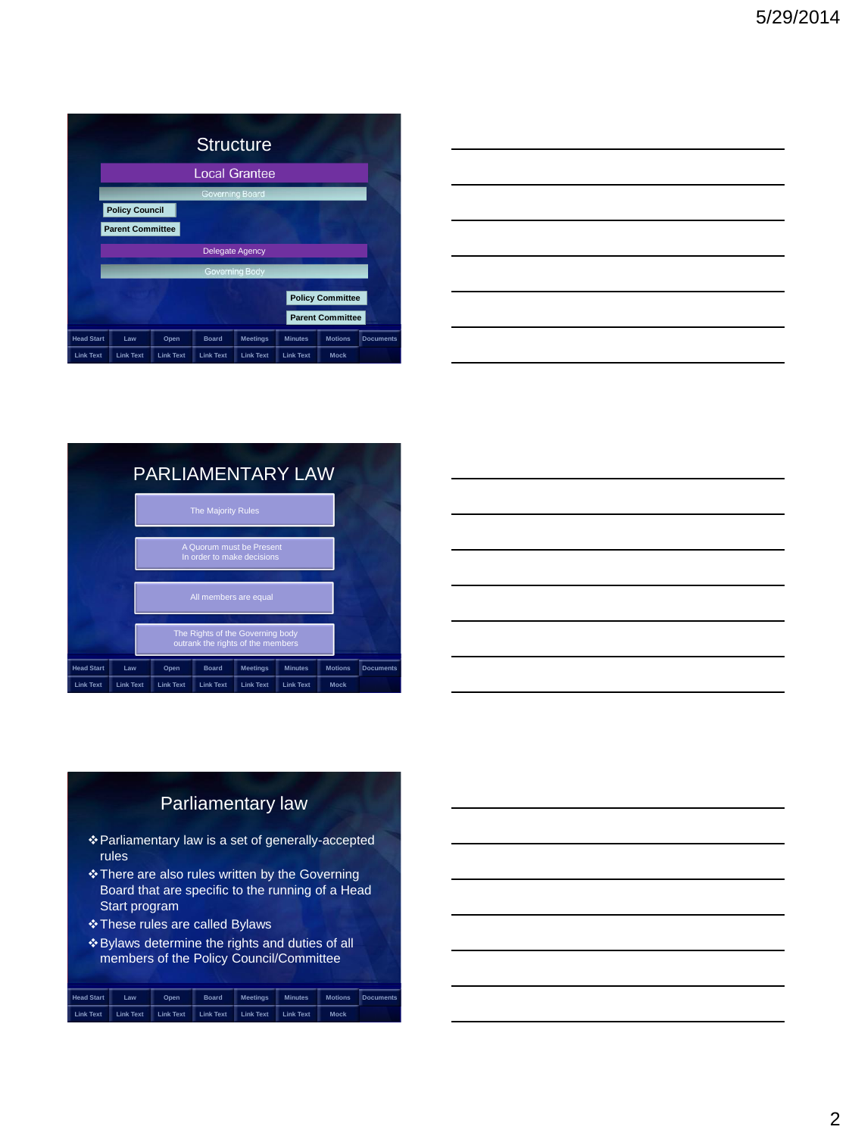| <b>Structure</b>        |                       |                  |                        |                  |                  |                |                  |  |
|-------------------------|-----------------------|------------------|------------------------|------------------|------------------|----------------|------------------|--|
| <b>Local Grantee</b>    |                       |                  |                        |                  |                  |                |                  |  |
| Governing Board         |                       |                  |                        |                  |                  |                |                  |  |
|                         | <b>Policy Council</b> |                  |                        |                  |                  |                |                  |  |
| <b>Parent Committee</b> |                       |                  |                        |                  |                  |                |                  |  |
|                         |                       |                  | <b>Delegate Agency</b> |                  |                  |                |                  |  |
|                         |                       |                  | Governing Body         |                  |                  |                |                  |  |
| <b>Policy Committee</b> |                       |                  |                        |                  |                  |                |                  |  |
| <b>Parent Committee</b> |                       |                  |                        |                  |                  |                |                  |  |
| <b>Head Start</b>       | Law                   | Open             | <b>Board</b>           | <b>Meetings</b>  | <b>Minutes</b>   | <b>Motions</b> | <b>Documents</b> |  |
| <b>Link Text</b>        | <b>Link Text</b>      | <b>Link Text</b> | <b>Link Text</b>       | <b>Link Text</b> | <b>Link Text</b> | <b>Mock</b>    |                  |  |

|                                                                                                                       |  | ______ |
|-----------------------------------------------------------------------------------------------------------------------|--|--------|
| <u> International American Communication of the Communication of the Communication of the Communication of the Co</u> |  | __     |
| _____                                                                                                                 |  | ___    |
| $\overline{\phantom{a}}$                                                                                              |  |        |
|                                                                                                                       |  |        |
| the contract of the contract of the                                                                                   |  |        |





### Parliamentary law

- Parliamentary law is a set of generally-accepted rules
- \* There are also rules written by the Governing Board that are specific to the running of a Head Start program
- These rules are called Bylaws
- Bylaws determine the rights and duties of all members of the Policy Council/Committee

<span id="page-1-0"></span>

| <b>Head Start</b> | Law              | Open             | <b>Board</b>     | <b>Meetings</b>  | <b>Minutes</b>   | <b>Motions</b> | <b>Documents</b> |
|-------------------|------------------|------------------|------------------|------------------|------------------|----------------|------------------|
| <b>Link Text</b>  | <b>Link Text</b> | <b>Link Text</b> | <b>Link Text</b> | <b>Link Text</b> | <b>Link Text</b> | <b>Mock</b>    |                  |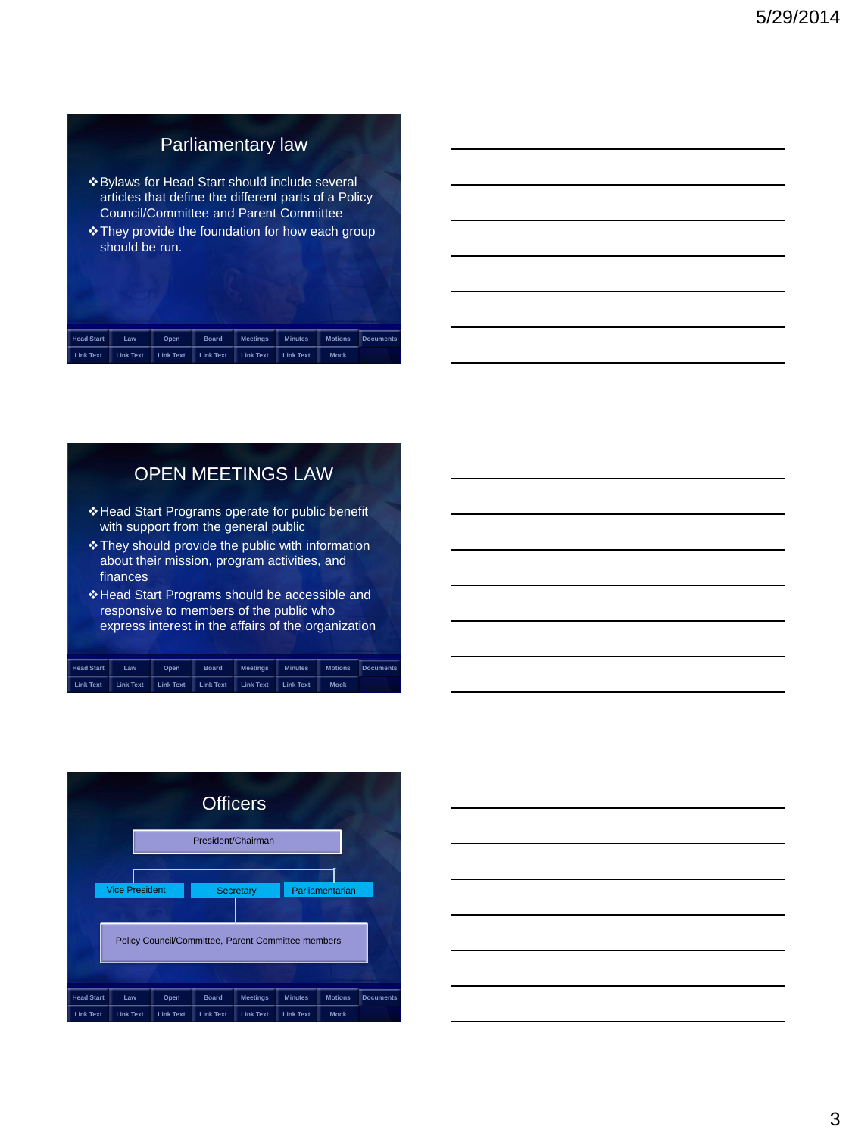## Parliamentary law

- Bylaws for Head Start should include several articles that define the different parts of a Policy Council/Committee and Parent Committee
- They provide the foundation for how each group should be run.

| <b>Head Start</b> | Law              | Open             | <b>Board</b>     | <b>Meetings</b>  | <b>Minutes</b>   | <b>Motions</b> | <b>Documents</b> |
|-------------------|------------------|------------------|------------------|------------------|------------------|----------------|------------------|
| <b>Link Text</b>  | <b>Link Text</b> | <b>Link Text</b> | <b>Link Text</b> | <b>Link Text</b> | <b>Link Text</b> | <b>Mock</b>    |                  |

## OPEN MEETINGS LAW

- Head Start Programs operate for public benefit with support from the general public
- They should provide the public with information about their mission, program activities, and finances
- Head Start Programs should be accessible and responsive to members of the public who express interest in the affairs of the organization

| <b>Head Start</b> | Law              | Open             | <b>Board</b>     | <b>Meetings</b>  | <b>Minutes</b>   | <b>Motions</b> | <b>Documents</b> |
|-------------------|------------------|------------------|------------------|------------------|------------------|----------------|------------------|
| <b>Link Text</b>  | <b>Link Text</b> | <b>Link Text</b> | <b>Link Text</b> | <b>Link Text</b> | <b>Link Text</b> | <b>Mock</b>    |                  |

<span id="page-2-0"></span>

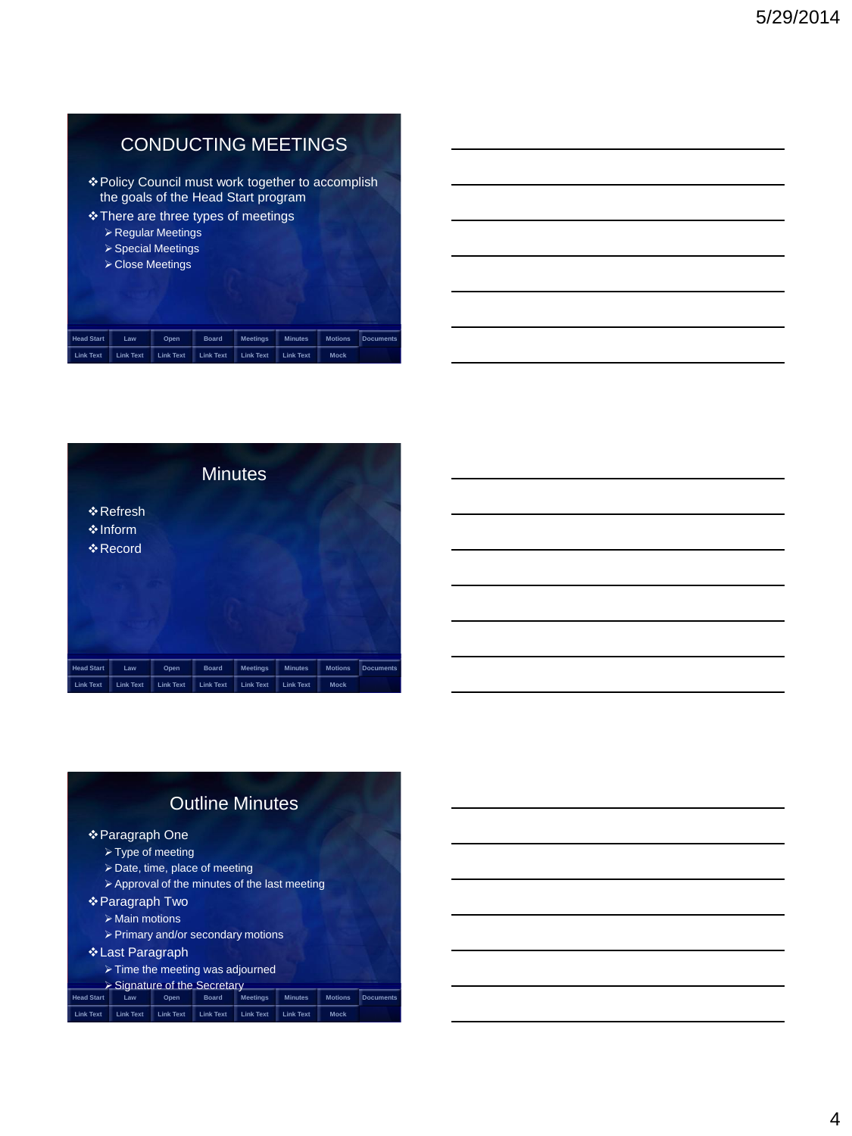## CONDUCTING MEETINGS

- Policy Council must work together to accomplish the goals of the Head Start program
- There are three types of meetings
	- Regular Meetings
	- Special Meetings
	- Close Meetings

| <b>Head Start</b> | Law              | Open             | <b>Board</b>     | <b>Meetings</b>  | <b>Minutes</b>   | <b>Motions</b> | <b>Documents</b> |
|-------------------|------------------|------------------|------------------|------------------|------------------|----------------|------------------|
| <b>Link Text</b>  | <b>Link Text</b> | <b>Link Text</b> | <b>Link Text</b> | <b>Link Text</b> | <b>Link Text</b> | <b>Mock</b>    |                  |



## Outline Minutes

#### Paragraph One

- > Type of meeting
- Date, time, place of meeting
- $\triangleright$  Approval of the minutes of the last meeting

#### Paragraph Two

- $\triangleright$  Main motions
- Primary and/or secondary motions

#### Last Paragraph

 $\triangleright$  Time the meeting was adjourned

| $\triangleright$ Signature of the Secretary |     |      |       |          |         |  |                          |  |  |
|---------------------------------------------|-----|------|-------|----------|---------|--|--------------------------|--|--|
| <b>Head Start</b>                           | Law | Open | Board | Meetinas | Minutes |  | <b>Motions Documents</b> |  |  |

<span id="page-3-0"></span>

|  | Link Text     Link Text     Link Text     Link Text     Link Text     Link Text |  | Mock |
|--|---------------------------------------------------------------------------------|--|------|
|  |                                                                                 |  |      |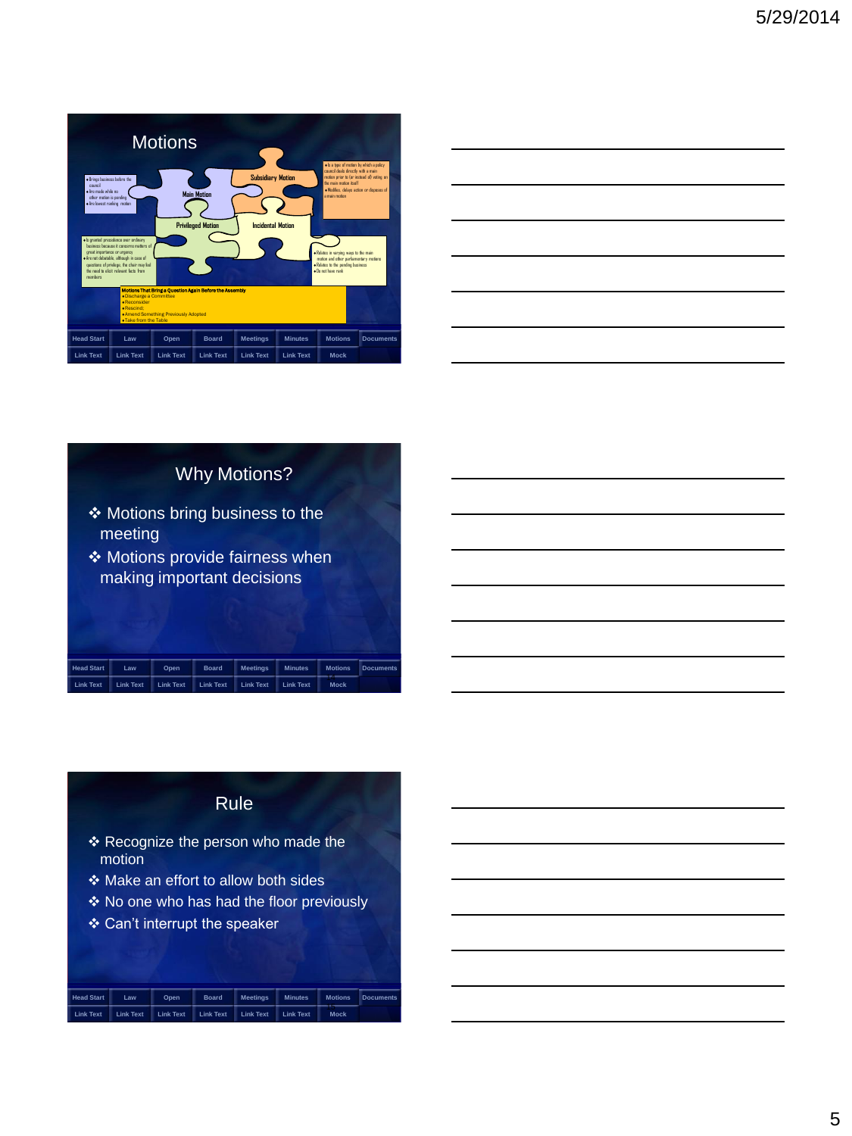

| <u> 1989 - Johann Stoff, deutscher Stoffen und der Stoffen und der Stoffen und der Stoffen und der Stoffen und de</u> |  |  |
|-----------------------------------------------------------------------------------------------------------------------|--|--|
| a sa mga bansang pag-ang pag-ang pag-ang pag-ang pag-ang pag-ang pag-ang pag-ang pag-ang pag-ang pag-ang pag-a        |  |  |
|                                                                                                                       |  |  |
| <u> 1989 - Johann Stoff, deutscher Stoff, der Stoff, der Stoff, der Stoff, der Stoff, der Stoff, der Stoff, der S</u> |  |  |
| <u> 1989 - Johann Barbara, martxa alemaniar amerikan basar da a</u>                                                   |  |  |
|                                                                                                                       |  |  |

## Why Motions? Motions bring business to the meeting

◆ Motions provide fairness when making important decisions

# **[Head Start](#page-0-0) [Law](#page-1-0) [Open](#page-2-0) [Board](#page-3-0) [Meetings](#page-3-0) [Minutes](#page-3-0) [Motions](#page-4-0) [Documents](#page-6-0) [Link Text](#page-7-0) Link Text Link Text Link Text Link Text Link Text** Mocl

## Rule

- Recognize the person who made the motion
- Make an effort to allow both sides
- ◆ No one who has had the floor previously
- Can't interrupt the speaker

<span id="page-4-0"></span>

| <b>Head Start</b> | Law              | Open.            | <b>Board</b>     | <b>Meetings</b>  | <b>Minutes</b>   | <b>Motions</b> | <b>Documents</b> |
|-------------------|------------------|------------------|------------------|------------------|------------------|----------------|------------------|
| Link Text         | <b>Link Text</b> | <b>Link Text</b> | <b>Link Text</b> | <b>Link Text</b> | <b>Link Text</b> | <b>Mock</b>    |                  |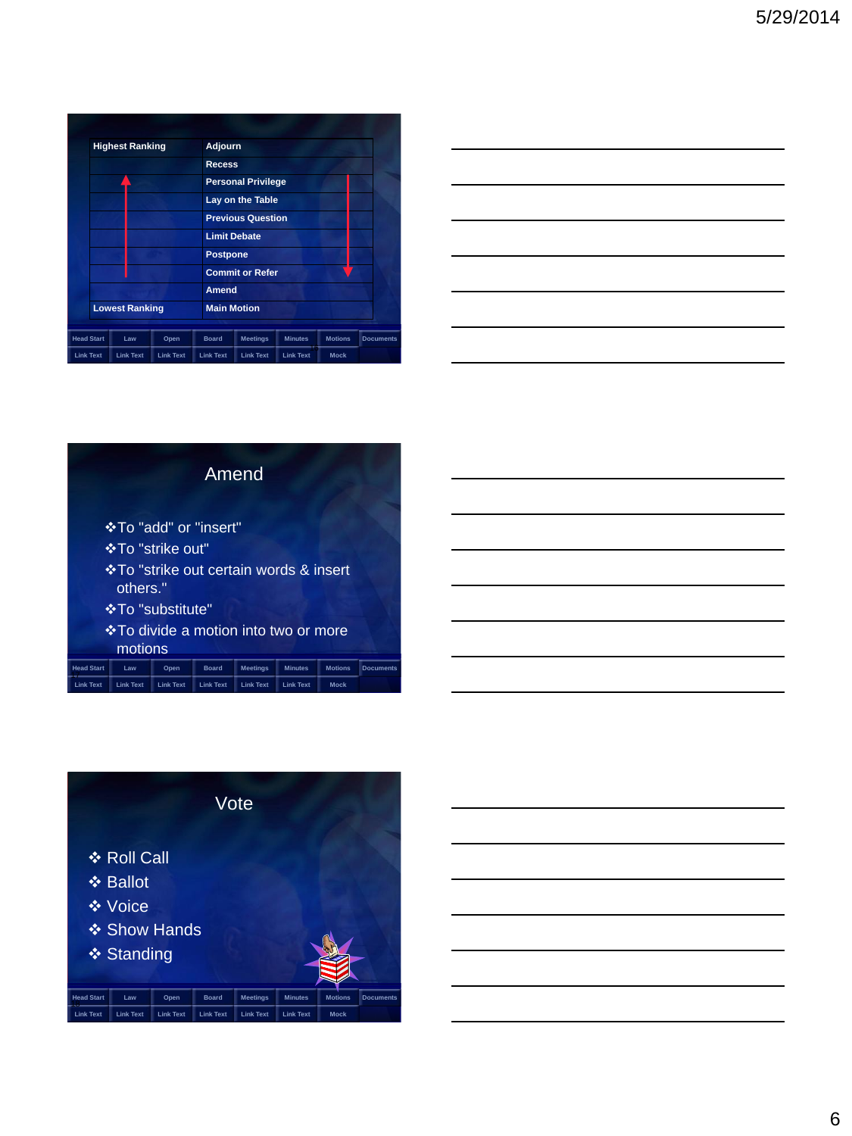|                   | <b>Highest Ranking</b> |                  |                  |                  | <b>Adjourn</b>                                                                                                                                                |                  |                |                  |  |
|-------------------|------------------------|------------------|------------------|------------------|---------------------------------------------------------------------------------------------------------------------------------------------------------------|------------------|----------------|------------------|--|
|                   |                        |                  |                  |                  | <b>Recess</b>                                                                                                                                                 |                  |                |                  |  |
|                   |                        |                  |                  |                  | <b>Personal Privilege</b><br>Lay on the Table<br><b>Previous Question</b><br><b>Limit Debate</b><br><b>Postpone</b><br><b>Commit or Refer</b><br><b>Amend</b> |                  |                |                  |  |
|                   |                        |                  |                  |                  |                                                                                                                                                               |                  |                |                  |  |
|                   |                        |                  |                  |                  |                                                                                                                                                               |                  |                |                  |  |
|                   |                        |                  |                  |                  |                                                                                                                                                               |                  |                |                  |  |
|                   |                        |                  |                  |                  |                                                                                                                                                               |                  |                |                  |  |
|                   |                        |                  |                  |                  |                                                                                                                                                               |                  |                |                  |  |
|                   |                        |                  |                  |                  |                                                                                                                                                               |                  |                |                  |  |
|                   | <b>Lowest Ranking</b>  |                  |                  |                  | <b>Main Motion</b>                                                                                                                                            |                  |                |                  |  |
|                   |                        |                  |                  |                  |                                                                                                                                                               |                  |                |                  |  |
| <b>Head Start</b> |                        | Law              | Open             | <b>Board</b>     | <b>Meetings</b>                                                                                                                                               | <b>Minutes</b>   | <b>Motions</b> | <b>Documents</b> |  |
| <b>Link Text</b>  |                        | <b>Link Text</b> | <b>Link Text</b> | <b>Link Text</b> | <b>Link Text</b>                                                                                                                                              | <b>Link Text</b> | Mock           |                  |  |

| <u> 1989 - Johann Stoff, amerikansk politiker (d. 1989)</u>                                                           |  | $\overline{\phantom{a}}$ |
|-----------------------------------------------------------------------------------------------------------------------|--|--------------------------|
|                                                                                                                       |  |                          |
| <u> 1989 - Johann Stoff, amerikansk politiker (d. 1989)</u>                                                           |  | ___                      |
|                                                                                                                       |  |                          |
| <u> 1980 - Johann Barn, amerikansk politiker (d. 1980)</u>                                                            |  |                          |
| <u> 1989 - Johann Stoff, deutscher Stoff, der Stoff, der Stoff, der Stoff, der Stoff, der Stoff, der Stoff, der S</u> |  |                          |
|                                                                                                                       |  |                          |

| Amend                                                                                                                        |  |  |  |  |  |  |  |  |  |
|------------------------------------------------------------------------------------------------------------------------------|--|--|--|--|--|--|--|--|--|
| <b>*To "add" or "insert"</b>                                                                                                 |  |  |  |  |  |  |  |  |  |
| *To "strike out"                                                                                                             |  |  |  |  |  |  |  |  |  |
| ❖ To "strike out certain words & insert<br>others."                                                                          |  |  |  |  |  |  |  |  |  |
| <b>☆To "substitute"</b>                                                                                                      |  |  |  |  |  |  |  |  |  |
| <b>V</b> •To divide a motion into two or more                                                                                |  |  |  |  |  |  |  |  |  |
| motions                                                                                                                      |  |  |  |  |  |  |  |  |  |
| <b>Head Start</b><br><b>Meetings</b><br><b>Minutes</b><br><b>Motions</b><br>Law<br>Open<br><b>Board</b><br><b>Documents</b>  |  |  |  |  |  |  |  |  |  |
| <b>Link Text</b><br><b>Link Text</b><br><b>Link Text</b><br><b>Link Text</b><br><b>Link Text</b><br>Mock<br><b>Link Text</b> |  |  |  |  |  |  |  |  |  |

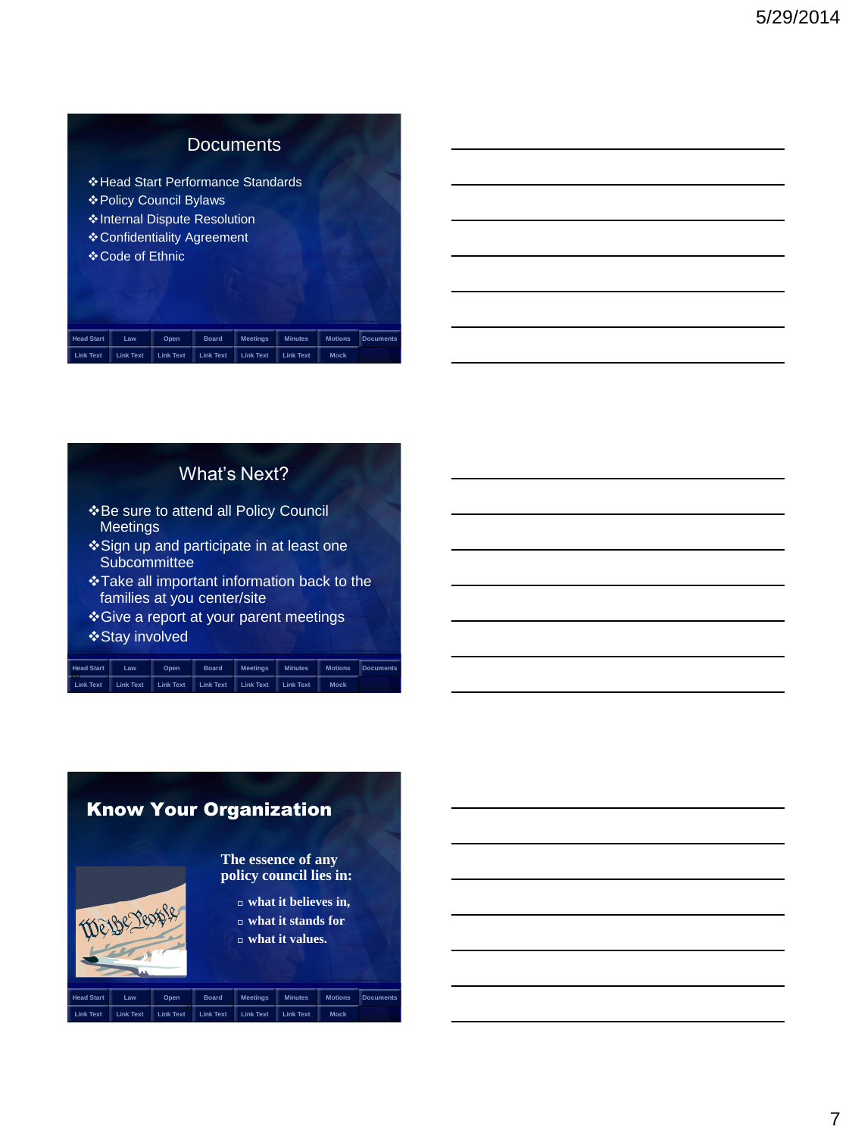## **Documents**

Head Start Performance Standards Policy Council Bylaws Internal Dispute Resolution Confidentiality Agreement Code of Ethnic

| <b>Head Start</b> | Law              | Open             | <b>Board</b>     | <b>Meetings</b>  | <b>Minutes</b>   | <b>Motions</b> | <b>Documents</b> |
|-------------------|------------------|------------------|------------------|------------------|------------------|----------------|------------------|
| <b>Link Text</b>  | <b>Link Text</b> | <b>Link Text</b> | <b>Link Text</b> | <b>Link Text</b> | <b>Link Text</b> | <b>Mock</b>    |                  |

## What's Next?

- **\*** Be sure to attend all Policy Council Meetings
- Sign up and participate in at least one Subcommittee
- Take all important information back to the families at you center/site
- Give a report at your parent meetings Stay involved

| <b>Head Start</b> | Law              | Open             | <b>Board</b>     | <b>Meetings</b>  | <b>Minutes</b>   | <b>Motions</b> | <b>Documents</b> |
|-------------------|------------------|------------------|------------------|------------------|------------------|----------------|------------------|
| ---<br>Link Text  | <b>Link Text</b> | <b>Link Text</b> | <b>Link Text</b> | <b>Link Text</b> | <b>Link Text</b> | <b>Mock</b>    |                  |

<span id="page-6-0"></span>

|                   |                  |                  |                  | <b>Know Your Organization</b>                 |                                                          |                |                  |
|-------------------|------------------|------------------|------------------|-----------------------------------------------|----------------------------------------------------------|----------------|------------------|
|                   | We Be reas       |                  |                  | The essence of any<br>policy council lies in: | $\Box$ what it believes in,<br>$\Box$ what it stands for |                |                  |
|                   |                  |                  |                  |                                               | $\Box$ what it values.                                   |                |                  |
| <b>Head Start</b> | Law              | Open             | <b>Board</b>     | <b>Meetings</b>                               | <b>Minutes</b>                                           | <b>Motions</b> | <b>Documents</b> |
| <b>Link Text</b>  | <b>Link Text</b> | <b>Link Text</b> | <b>Link Text</b> | <b>Link Text</b>                              | <b>Link Text</b>                                         | <b>Mock</b>    |                  |